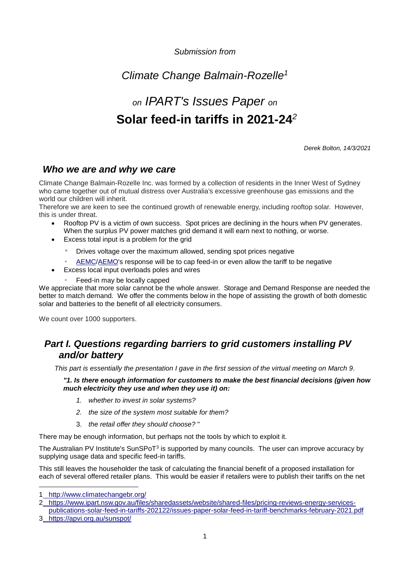*Submission from*

# *Climate Change Balmain-Rozelle<sup>1</sup>*

# *on IPART's Issues Paper on* **Solar feed-in tariffs in 2021-24***<sup>2</sup>*

*Derek Bolton, 14/3/2021*

### *Who we are and why we care*

Climate Change Balmain-Rozelle Inc. was formed by a collection of residents in the Inner West of Sydney who came together out of mutual distress over Australia's excessive greenhouse gas emissions and the world our children will inherit.

Therefore we are keen to see the continued growth of renewable energy, including rooftop solar. However, this is under threat.

- Rooftop PV is a victim of own success. Spot prices are declining in the hours when PV generates. When the surplus PV power matches grid demand it will earn next to nothing, or worse.
- Excess total input is a problem for the grid
	- Drives voltage over the maximum allowed, sending spot prices negative
	- [AEMC/](#page-6-0)[AEMO's](#page-6-1) response will be to cap feed-in or even allow the tariff to be negative
- Excess local input overloads poles and wires
	- Feed-in may be locally capped

We appreciate that more solar cannot be the whole answer. Storage and Demand Response are needed the better to match demand. We offer the comments below in the hope of assisting the growth of both domestic solar and batteries to the benefit of all electricity consumers.

We count over 1000 supporters.

# *Part I. Questions regarding barriers to grid customers installing PV and/or battery*

*This part is essentially the presentation I gave in the first session of the virtual meeting on March 9.*

*"1. Is there enough information for customers to make the best financial decisions (given how much electricity they use and when they use it) on:*

- *1. whether to invest in solar systems?*
- *2. the size of the system most suitable for them?*
- 3. *the retail offer they should choose?* "

There may be enough information, but perhaps not the tools by which to exploit it.

The Australian PV Institute's SunSPoT<sup>3</sup> is supported by many councils. The user can improve accuracy by supplying usage data and specific feed-in tariffs.

This still leaves the householder the task of calculating the financial benefit of a proposed installation for each of several offered retailer plans. This would be easier if retailers were to publish their tariffs on the net

<sup>1</sup> <http://www.climatechangebr.org/>

<sup>2</sup> [https://www.ipart.nsw.gov.au/files/sharedassets/website/shared-files/pricing-reviews-energy-services-](https://www.ipart.nsw.gov.au/files/sharedassets/website/shared-files/pricing-reviews-energy-services-publications-solar-feed-in-tariffs-202122/issues-paper-solar-feed-in-tariff-benchmarks-february-2021.pdf)

[publications-solar-feed-in-tariffs-202122/issues-paper-solar-feed-in-tariff-benchmarks-february-2021.pdf](https://www.ipart.nsw.gov.au/files/sharedassets/website/shared-files/pricing-reviews-energy-services-publications-solar-feed-in-tariffs-202122/issues-paper-solar-feed-in-tariff-benchmarks-february-2021.pdf) 3 <https://apvi.org.au/sunspot/>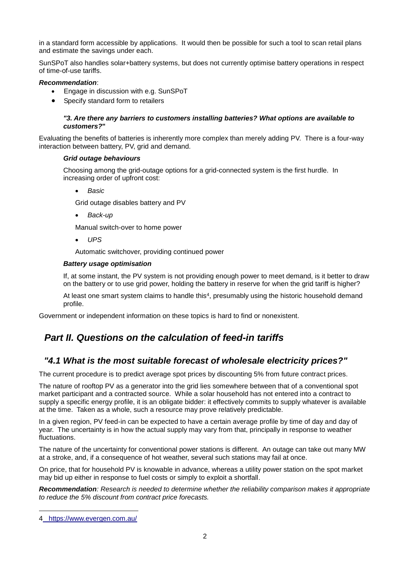in a standard form accessible by applications. It would then be possible for such a tool to scan retail plans and estimate the savings under each.

SunSPoT also handles solar+battery systems, but does not currently optimise battery operations in respect of time-of-use tariffs.

#### *Recommendation*:

- Engage in discussion with e.g. SunSPoT
- Specify standard form to retailers

#### *"3. Are there any barriers to customers installing batteries? What options are available to customers?***"**

Evaluating the benefits of batteries is inherently more complex than merely adding PV. There is a four-way interaction between battery, PV, grid and demand.

#### *Grid outage behaviours*

Choosing among the grid-outage options for a grid-connected system is the first hurdle. In increasing order of upfront cost:

- *Basic*
- Grid outage disables battery and PV
- *Back-up*
- Manual switch-over to home power
- *UPS*
- Automatic switchover, providing continued power

#### *Battery usage optimisation*

If, at some instant, the PV system is not providing enough power to meet demand, is it better to draw on the battery or to use grid power, holding the battery in reserve for when the grid tariff is higher?

At least one smart system claims to handle this<sup>4</sup>, presumably using the historic household demand profile.

Government or independent information on these topics is hard to find or nonexistent.

## *Part II. Questions on the calculation of feed-in tariffs*

### *"4.1 What is the most suitable forecast of wholesale electricity prices?"*

The current procedure is to predict average spot prices by discounting 5% from future contract prices.

The nature of rooftop PV as a generator into the grid lies somewhere between that of a conventional spot market participant and a contracted source. While a solar household has not entered into a contract to supply a specific energy profile, it is an obligate bidder: it effectively commits to supply whatever is available at the time. Taken as a whole, such a resource may prove relatively predictable.

In a given region, PV feed-in can be expected to have a certain average profile by time of day and day of year. The uncertainty is in how the actual supply may vary from that, principally in response to weather fluctuations.

The nature of the uncertainty for conventional power stations is different. An outage can take out many MW at a stroke, and, if a consequence of hot weather, several such stations may fail at once.

On price, that for household PV is knowable in advance, whereas a utility power station on the spot market may bid up either in response to fuel costs or simply to exploit a shortfall.

*Recommendation: Research is needed to determine whether the reliability comparison makes it appropriate to reduce the 5% discount from contract price forecasts.*

<sup>4</sup> <https://www.evergen.com.au/>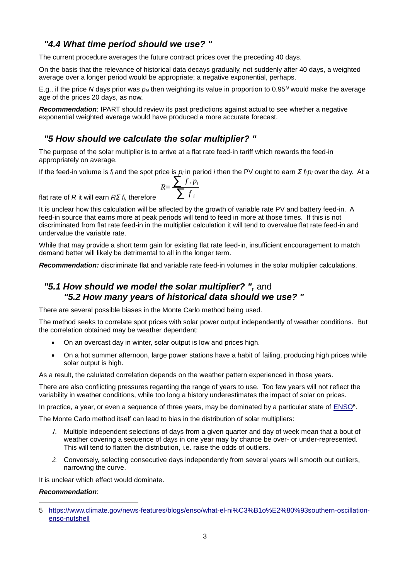### *"4.4 What time period should we use? "*

The current procedure averages the future contract prices over the preceding 40 days.

On the basis that the relevance of historical data decays gradually, not suddenly after 40 days, a weighted average over a longer period would be appropriate; a negative exponential, perhaps.

E.g., if the price *N* days prior was *p<sup>N</sup>* then weighting its value in proportion to 0.95*<sup>N</sup>* would make the average age of the prices 20 days, as now.

*Recommendation*: IPART should review its past predictions against actual to see whether a negative exponential weighted average would have produced a more accurate forecast.

### *"5 How should we calculate the solar multiplier? "*

The purpose of the solar multiplier is to arrive at a flat rate feed-in tariff which rewards the feed-in appropriately on average.

If the feed-in volume is *f<sup>i</sup>* and the spot price is *p<sup>i</sup>* in period *i* then the PV ought to earn *Σ fi p<sup>i</sup>* over the day. At a

$$
R = \frac{\sum f_i p_i}{\sum f_i}
$$

flat rate of *R* it will earn *RΣ fi*, therefore

It is unclear how this calculation will be affected by the growth of variable rate PV and battery feed-in. A feed-in source that earns more at peak periods will tend to feed in more at those times. If this is not discriminated from flat rate feed-in in the multiplier calculation it will tend to overvalue flat rate feed-in and undervalue the variable rate.

While that may provide a short term gain for existing flat rate feed-in, insufficient encouragement to match demand better will likely be detrimental to all in the longer term.

*Recommendation:* discriminate flat and variable rate feed-in volumes in the solar multiplier calculations.

### *"5.1 How should we model the solar multiplier? ",* and *"5.2 How many years of historical data should we use? "*

There are several possible biases in the Monte Carlo method being used.

The method seeks to correlate spot prices with solar power output independently of weather conditions. But the correlation obtained may be weather dependent:

- On an overcast day in winter, solar output is low and prices high.
- On a hot summer afternoon, large power stations have a habit of failing, producing high prices while solar output is high.

As a result, the calulated correlation depends on the weather pattern experienced in those years.

There are also conflicting pressures regarding the range of years to use. Too few years will not reflect the variability in weather conditions, while too long a history underestimates the impact of solar on prices.

In practice, a year, or even a sequence of three years, may be dominated by a particular state of **ENSO**<sup>5</sup>.

The Monte Carlo method itself can lead to bias in the distribution of solar multipliers:

- Multiple independent selections of days from a given quarter and day of week mean that a bout of weather covering a sequence of days in one year may by chance be over- or under-represented. This will tend to flatten the distribution, i.e. raise the odds of outliers.
- 2. Conversely, selecting consecutive days independently from several years will smooth out outliers, narrowing the curve.

It is unclear which effect would dominate.

#### *Recommendation*:

<sup>5</sup> [https://www.climate.gov/news-features/blogs/enso/what-el-ni%C3%B1o%E2%80%93southern-oscillation](https://www.climate.gov/news-features/blogs/enso/what-el-niño–southern-oscillation-enso-nutshell)[enso-nutshell](https://www.climate.gov/news-features/blogs/enso/what-el-niño–southern-oscillation-enso-nutshell)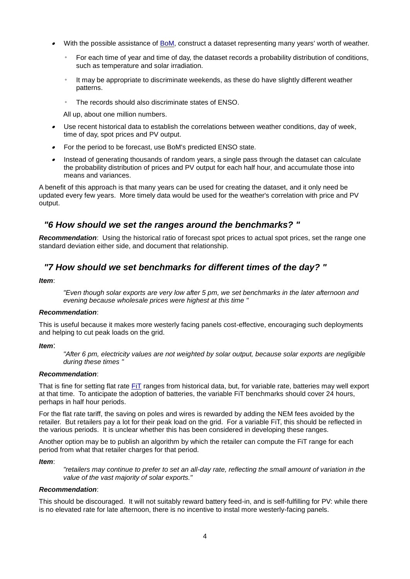- $\bullet$  With the possible assistance of [BoM,](#page-6-3) construct a dataset representing many years' worth of weather.
	- For each time of year and time of day, the dataset records a probability distribution of conditions, such as temperature and solar irradiation.
	- It may be appropriate to discriminate weekends, as these do have slightly different weather patterns.
	- The records should also discriminate states of ENSO.

All up, about one million numbers.

- $\bullet$  Use recent historical data to establish the correlations between weather conditions, day of week, time of day, spot prices and PV output.
- $\bullet$ For the period to be forecast, use BoM's predicted ENSO state.
- $\bullet$  Instead of generating thousands of random years, a single pass through the dataset can calculate the probability distribution of prices and PV output for each half hour, and accumulate those into means and variances.

A benefit of this approach is that many years can be used for creating the dataset, and it only need be updated every few years. More timely data would be used for the weather's correlation with price and PV output.

### *"6 How should we set the ranges around the benchmarks? "*

*Recommendation*: Using the historical ratio of forecast spot prices to actual spot prices, set the range one standard deviation either side, and document that relationship.

### *"7 How should we set benchmarks for different times of the day? "*

#### *Item*:

*"Even though solar exports are very low after 5 pm, we set benchmarks in the later afternoon and evening because wholesale prices were highest at this time "*

#### *Recommendation*:

This is useful because it makes more westerly facing panels cost-effective, encouraging such deployments and helping to cut peak loads on the grid.

#### *Item*:

*"After 6 pm, electricity values are not weighted by solar output, because solar exports are negligible during these times "*

#### *Recommendation*:

That is fine for setting flat rate [FiT](#page-6-4) ranges from historical data, but, for variable rate, batteries may well export at that time. To anticipate the adoption of batteries, the variable FiT benchmarks should cover 24 hours, perhaps in half hour periods.

For the flat rate tariff, the saving on poles and wires is rewarded by adding the NEM fees avoided by the retailer. But retailers pay a lot for their peak load on the grid. For a variable FiT, this should be reflected in the various periods. It is unclear whether this has been considered in developing these ranges.

Another option may be to publish an algorithm by which the retailer can compute the FiT range for each period from what that retailer charges for that period.

#### *Item*:

*"retailers may continue to prefer to set an all-day rate, reflecting the small amount of variation in the value of the vast majority of solar exports."*

#### *Recommendation*:

This should be discouraged. It will not suitably reward battery feed-in, and is self-fulfilling for PV: while there is no elevated rate for late afternoon, there is no incentive to instal more westerly-facing panels.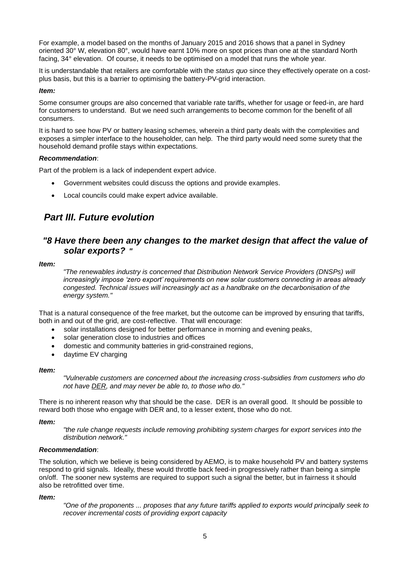For example, a model based on the months of January 2015 and 2016 shows that a panel in Sydney oriented 30° W, elevation 80°, would have earnt 10% more on spot prices than one at the standard North facing, 34° elevation. Of course, it needs to be optimised on a model that runs the whole year.

It is understandable that retailers are comfortable with the *status quo* since they effectively operate on a costplus basis, but this is a barrier to optimising the battery-PV-grid interaction.

#### *Item:*

Some consumer groups are also concerned that variable rate tariffs, whether for usage or feed-in, are hard for customers to understand. But we need such arrangements to become common for the benefit of all consumers.

It is hard to see how PV or battery leasing schemes, wherein a third party deals with the complexities and exposes a simpler interface to the householder, can help. The third party would need some surety that the household demand profile stays within expectations.

#### *Recommendation*:

Part of the problem is a lack of independent expert advice.

- Government websites could discuss the options and provide examples.
- Local councils could make expert advice available.

# *Part III. Future evolution*

### *"8 Have there been any changes to the market design that affect the value of solar exports? "*

*Item:*

*"The renewables industry is concerned that Distribution Network Service Providers (DNSPs) will increasingly impose 'zero export' requirements on new solar customers connecting in areas already congested. Technical issues will increasingly act as a handbrake on the decarbonisation of the energy system."*

That is a natural consequence of the free market, but the outcome can be improved by ensuring that tariffs, both in and out of the grid, are cost-reflective. That will encourage:

- solar installations designed for better performance in morning and evening peaks,
- solar generation close to industries and offices
- domestic and community batteries in grid-constrained regions,
- daytime EV charging

#### *Item:*

*"Vulnerable customers are concerned about the increasing cross-subsidies from customers who do not have [DER,](#page-6-5) and may never be able to, to those who do."*

There is no inherent reason why that should be the case. DER is an overall good. It should be possible to reward both those who engage with DER and, to a lesser extent, those who do not.

#### *Item:*

*"the rule change requests include removing prohibiting system charges for export services into the distribution network."*

#### *Recommendation*:

The solution, which we believe is being considered by AEMO, is to make household PV and battery systems respond to grid signals. Ideally, these would throttle back feed-in progressively rather than being a simple on/off. The sooner new systems are required to support such a signal the better, but in fairness it should also be retrofitted over time.

#### *Item:*

*"One of the proponents ... proposes that any future tariffs applied to exports would principally seek to recover incremental costs of providing export capacity*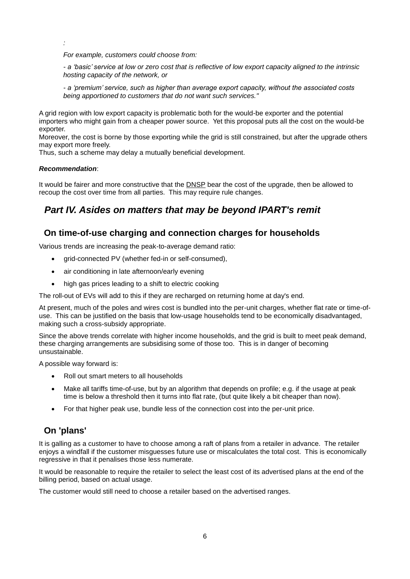*For example, customers could choose from:* 

*- a 'basic' service at low or zero cost that is reflective of low export capacity aligned to the intrinsic hosting capacity of the network, or* 

*- a 'premium' service, such as higher than average export capacity, without the associated costs being apportioned to customers that do not want such services."*

A grid region with low export capacity is problematic both for the would-be exporter and the potential importers who might gain from a cheaper power source. Yet this proposal puts all the cost on the would-be exporter.

Moreover, the cost is borne by those exporting while the grid is still constrained, but after the upgrade others may export more freely.

Thus, such a scheme may delay a mutually beneficial development.

#### *Recommendation*:

*:*

It would be fairer and more constructive that the [DNSP](#page-6-6) bear the cost of the upgrade, then be allowed to recoup the cost over time from all parties. This may require rule changes.

# *Part IV. Asides on matters that may be beyond IPART's remit*

### **On time-of-use charging and connection charges for households**

Various trends are increasing the peak-to-average demand ratio:

- grid-connected PV (whether fed-in or self-consumed),
- air conditioning in late afternoon/early evening
- high gas prices leading to a shift to electric cooking

The roll-out of EVs will add to this if they are recharged on returning home at day's end.

At present, much of the poles and wires cost is bundled into the per-unit charges, whether flat rate or time-ofuse. This can be justified on the basis that low-usage households tend to be economically disadvantaged, making such a cross-subsidy appropriate.

Since the above trends correlate with higher income households, and the grid is built to meet peak demand, these charging arrangements are subsidising some of those too. This is in danger of becoming unsustainable.

A possible way forward is:

- Roll out smart meters to all households
- Make all tariffs time-of-use, but by an algorithm that depends on profile; e.g. if the usage at peak time is below a threshold then it turns into flat rate, (but quite likely a bit cheaper than now).
- For that higher peak use, bundle less of the connection cost into the per-unit price.

## **On 'plans'**

It is galling as a customer to have to choose among a raft of plans from a retailer in advance. The retailer enjoys a windfall if the customer misguesses future use or miscalculates the total cost. This is economically regressive in that it penalises those less numerate.

It would be reasonable to require the retailer to select the least cost of its advertised plans at the end of the billing period, based on actual usage.

The customer would still need to choose a retailer based on the advertised ranges.